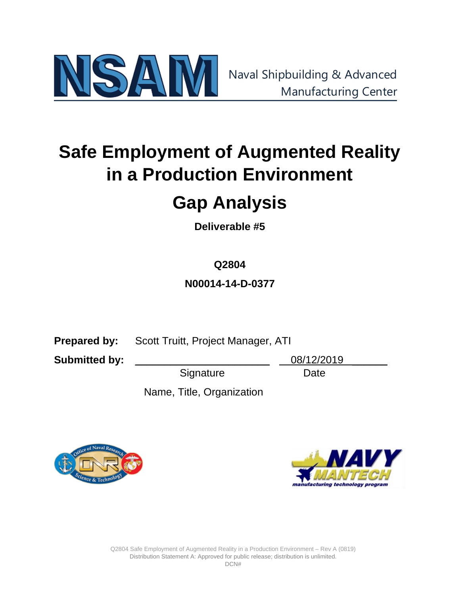

# **Safe Employment of Augmented Reality in a Production Environment**

# **Gap Analysis**

**Deliverable #5**

# **Q2804**

**N00014-14-D-0377**

**Prepared by:** Scott Truitt, Project Manager, ATI

**Submitted by:** 2003/12/2019

Signature Date

Name, Title, Organization



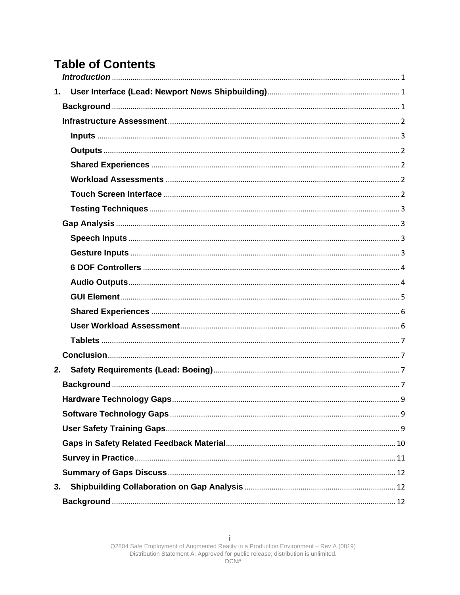# **Table of Contents**

| 1. |  |
|----|--|
|    |  |
|    |  |
|    |  |
|    |  |
|    |  |
|    |  |
|    |  |
|    |  |
|    |  |
|    |  |
|    |  |
|    |  |
|    |  |
|    |  |
|    |  |
|    |  |
|    |  |
|    |  |
| 2. |  |
|    |  |
|    |  |
|    |  |
|    |  |
|    |  |
|    |  |
|    |  |
|    |  |
|    |  |
|    |  |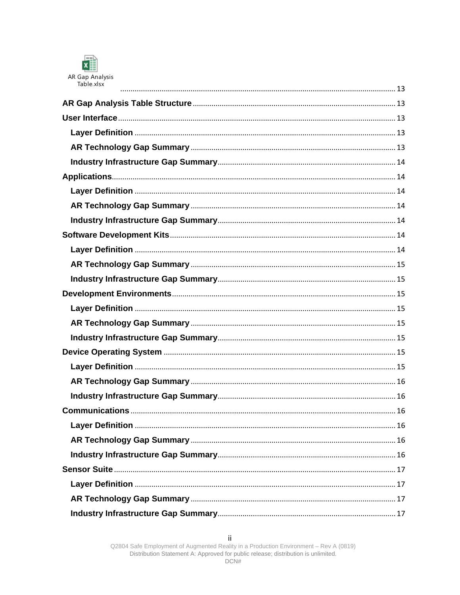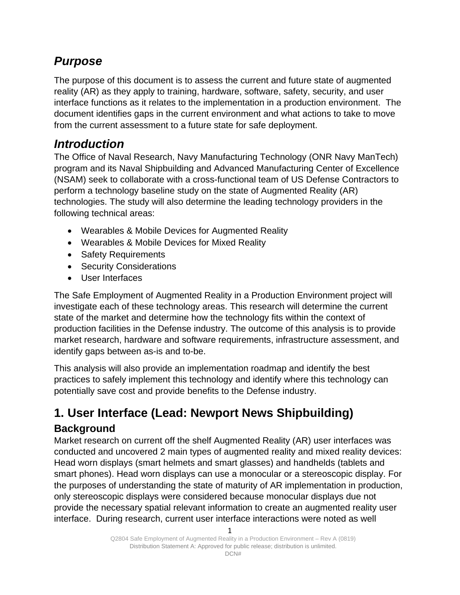# *Purpose*

The purpose of this document is to assess the current and future state of augmented reality (AR) as they apply to training, hardware, software, safety, security, and user interface functions as it relates to the implementation in a production environment. The document identifies gaps in the current environment and what actions to take to move from the current assessment to a future state for safe deployment.

# <span id="page-4-0"></span>*Introduction*

The Office of Naval Research, Navy Manufacturing Technology (ONR Navy ManTech) program and its Naval Shipbuilding and Advanced Manufacturing Center of Excellence (NSAM) seek to collaborate with a cross-functional team of US Defense Contractors to perform a technology baseline study on the state of Augmented Reality (AR) technologies. The study will also determine the leading technology providers in the following technical areas:

- Wearables & Mobile Devices for Augmented Reality
- Wearables & Mobile Devices for Mixed Reality
- Safety Requirements
- Security Considerations
- User Interfaces

The Safe Employment of Augmented Reality in a Production Environment project will investigate each of these technology areas. This research will determine the current state of the market and determine how the technology fits within the context of production facilities in the Defense industry. The outcome of this analysis is to provide market research, hardware and software requirements, infrastructure assessment, and identify gaps between as-is and to-be.

This analysis will also provide an implementation roadmap and identify the best practices to safely implement this technology and identify where this technology can potentially save cost and provide benefits to the Defense industry.

# <span id="page-4-1"></span>**1. User Interface (Lead: Newport News Shipbuilding)**

# <span id="page-4-2"></span>**Background**

Market research on current off the shelf Augmented Reality (AR) user interfaces was conducted and uncovered 2 main types of augmented reality and mixed reality devices: Head worn displays (smart helmets and smart glasses) and handhelds (tablets and smart phones). Head worn displays can use a monocular or a stereoscopic display. For the purposes of understanding the state of maturity of AR implementation in production, only stereoscopic displays were considered because monocular displays due not provide the necessary spatial relevant information to create an augmented reality user interface. During research, current user interface interactions were noted as well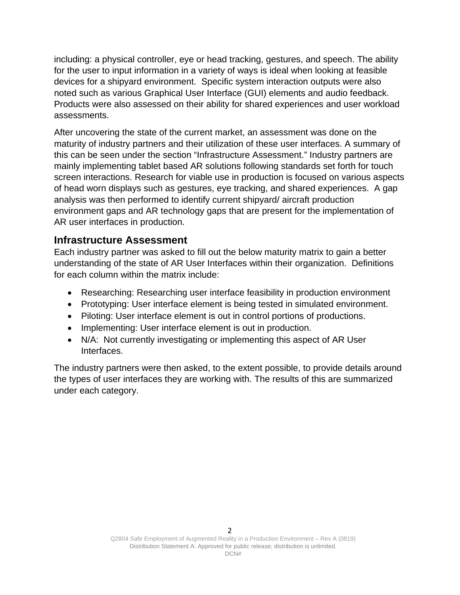including: a physical controller, eye or head tracking, gestures, and speech. The ability for the user to input information in a variety of ways is ideal when looking at feasible devices for a shipyard environment. Specific system interaction outputs were also noted such as various Graphical User Interface (GUI) elements and audio feedback. Products were also assessed on their ability for shared experiences and user workload assessments.

After uncovering the state of the current market, an assessment was done on the maturity of industry partners and their utilization of these user interfaces. A summary of this can be seen under the section "Infrastructure Assessment." Industry partners are mainly implementing tablet based AR solutions following standards set forth for touch screen interactions. Research for viable use in production is focused on various aspects of head worn displays such as gestures, eye tracking, and shared experiences. A gap analysis was then performed to identify current shipyard/ aircraft production environment gaps and AR technology gaps that are present for the implementation of AR user interfaces in production.

### <span id="page-5-0"></span>**Infrastructure Assessment**

Each industry partner was asked to fill out the below maturity matrix to gain a better understanding of the state of AR User Interfaces within their organization. Definitions for each column within the matrix include:

- Researching: Researching user interface feasibility in production environment
- Prototyping: User interface element is being tested in simulated environment.
- Piloting: User interface element is out in control portions of productions.
- Implementing: User interface element is out in production.
- N/A: Not currently investigating or implementing this aspect of AR User Interfaces.

The industry partners were then asked, to the extent possible, to provide details around the types of user interfaces they are working with. The results of this are summarized under each category.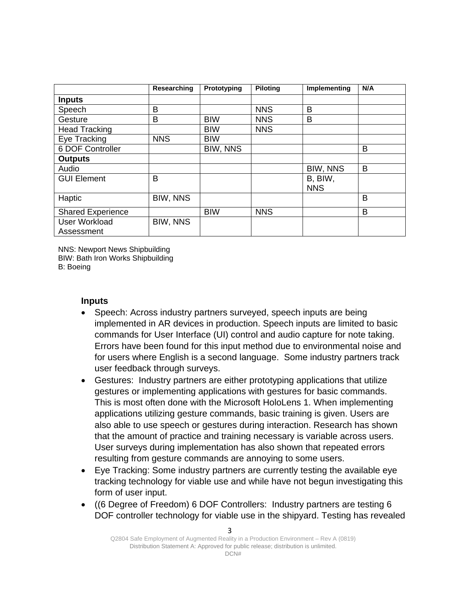|                                    | Researching | Prototyping | <b>Piloting</b> | Implementing          | N/A |
|------------------------------------|-------------|-------------|-----------------|-----------------------|-----|
| <b>Inputs</b>                      |             |             |                 |                       |     |
| Speech                             | B           |             | <b>NNS</b>      | B                     |     |
| Gesture                            | B           | <b>BIW</b>  | <b>NNS</b>      | B                     |     |
| <b>Head Tracking</b>               |             | <b>BIW</b>  | <b>NNS</b>      |                       |     |
| Eye Tracking                       | <b>NNS</b>  | <b>BIW</b>  |                 |                       |     |
| 6 DOF Controller                   |             | BIW, NNS    |                 |                       | B   |
| <b>Outputs</b>                     |             |             |                 |                       |     |
| Audio                              |             |             |                 | <b>BIW, NNS</b>       | B   |
| <b>GUI Element</b>                 | B           |             |                 | B, BIW,<br><b>NNS</b> |     |
| Haptic                             | BIW, NNS    |             |                 |                       | B   |
| <b>Shared Experience</b>           |             | <b>BIW</b>  | <b>NNS</b>      |                       | B   |
| <b>User Workload</b><br>Assessment | BIW, NNS    |             |                 |                       |     |

NNS: Newport News Shipbuilding BIW: Bath Iron Works Shipbuilding B: Boeing

### <span id="page-6-0"></span>**Inputs**

- Speech: Across industry partners surveyed, speech inputs are being implemented in AR devices in production. Speech inputs are limited to basic commands for User Interface (UI) control and audio capture for note taking. Errors have been found for this input method due to environmental noise and for users where English is a second language. Some industry partners track user feedback through surveys.
- Gestures: Industry partners are either prototyping applications that utilize gestures or implementing applications with gestures for basic commands. This is most often done with the Microsoft HoloLens 1. When implementing applications utilizing gesture commands, basic training is given. Users are also able to use speech or gestures during interaction. Research has shown that the amount of practice and training necessary is variable across users. User surveys during implementation has also shown that repeated errors resulting from gesture commands are annoying to some users.
- Eye Tracking: Some industry partners are currently testing the available eye tracking technology for viable use and while have not begun investigating this form of user input.
- ((6 Degree of Freedom) 6 DOF Controllers: Industry partners are testing 6 DOF controller technology for viable use in the shipyard. Testing has revealed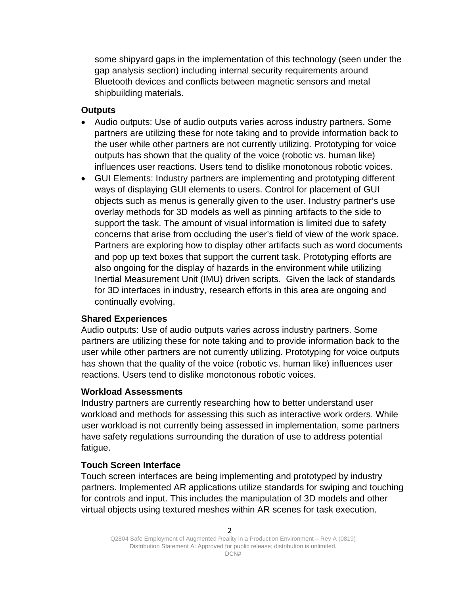some shipyard gaps in the implementation of this technology (seen under the gap analysis section) including internal security requirements around Bluetooth devices and conflicts between magnetic sensors and metal shipbuilding materials.

### <span id="page-7-0"></span>**Outputs**

- Audio outputs: Use of audio outputs varies across industry partners. Some partners are utilizing these for note taking and to provide information back to the user while other partners are not currently utilizing. Prototyping for voice outputs has shown that the quality of the voice (robotic vs. human like) influences user reactions. Users tend to dislike monotonous robotic voices.
- GUI Elements: Industry partners are implementing and prototyping different ways of displaying GUI elements to users. Control for placement of GUI objects such as menus is generally given to the user. Industry partner's use overlay methods for 3D models as well as pinning artifacts to the side to support the task. The amount of visual information is limited due to safety concerns that arise from occluding the user's field of view of the work space. Partners are exploring how to display other artifacts such as word documents and pop up text boxes that support the current task. Prototyping efforts are also ongoing for the display of hazards in the environment while utilizing Inertial Measurement Unit (IMU) driven scripts. Given the lack of standards for 3D interfaces in industry, research efforts in this area are ongoing and continually evolving.

### <span id="page-7-1"></span>**Shared Experiences**

Audio outputs: Use of audio outputs varies across industry partners. Some partners are utilizing these for note taking and to provide information back to the user while other partners are not currently utilizing. Prototyping for voice outputs has shown that the quality of the voice (robotic vs. human like) influences user reactions. Users tend to dislike monotonous robotic voices.

#### <span id="page-7-2"></span>**Workload Assessments**

Industry partners are currently researching how to better understand user workload and methods for assessing this such as interactive work orders. While user workload is not currently being assessed in implementation, some partners have safety regulations surrounding the duration of use to address potential fatigue.

### <span id="page-7-3"></span>**Touch Screen Interface**

Touch screen interfaces are being implementing and prototyped by industry partners. Implemented AR applications utilize standards for swiping and touching for controls and input. This includes the manipulation of 3D models and other virtual objects using textured meshes within AR scenes for task execution.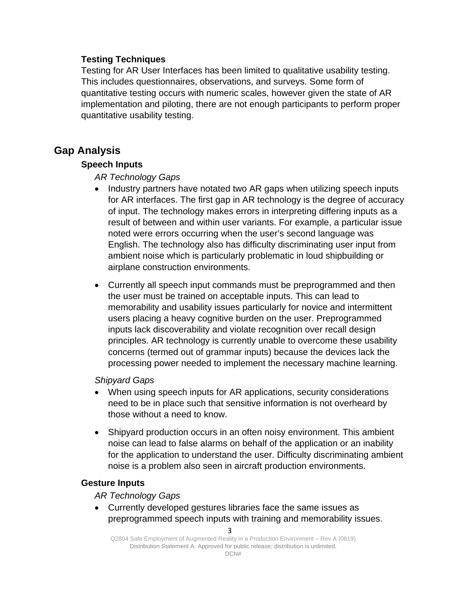### <span id="page-8-0"></span>**Testing Techniques**

Testing for AR User Interfaces has been limited to qualitative usability testing. This includes questionnaires, observations, and surveys. Some form of quantitative testing occurs with numeric scales, however given the state of AR implementation and piloting, there are not enough participants to perform proper quantitative usability testing.

## <span id="page-8-2"></span><span id="page-8-1"></span>**Gap Analysis**

### **Speech Inputs**

### *AR Technology Gaps*

- Industry partners have notated two AR gaps when utilizing speech inputs for AR interfaces. The first gap in AR technology is the degree of accuracy of input. The technology makes errors in interpreting differing inputs as a result of between and within user variants. For example, a particular issue noted were errors occurring when the user's second language was English. The technology also has difficulty discriminating user input from ambient noise which is particularly problematic in loud shipbuilding or airplane construction environments.
- Currently all speech input commands must be preprogrammed and then the user must be trained on acceptable inputs. This can lead to memorability and usability issues particularly for novice and intermittent users placing a heavy cognitive burden on the user. Preprogrammed inputs lack discoverability and violate recognition over recall design principles. AR technology is currently unable to overcome these usability concerns (termed out of grammar inputs) because the devices lack the processing power needed to implement the necessary machine learning.

### *Shipyard Gaps*

- When using speech inputs for AR applications, security considerations need to be in place such that sensitive information is not overheard by those without a need to know.
- Shipyard production occurs in an often noisy environment. This ambient noise can lead to false alarms on behalf of the application or an inability for the application to understand the user. Difficulty discriminating ambient noise is a problem also seen in aircraft production environments.

### <span id="page-8-3"></span>**Gesture Inputs**

*AR Technology Gaps*

• Currently developed gestures libraries face the same issues as preprogrammed speech inputs with training and memorability issues.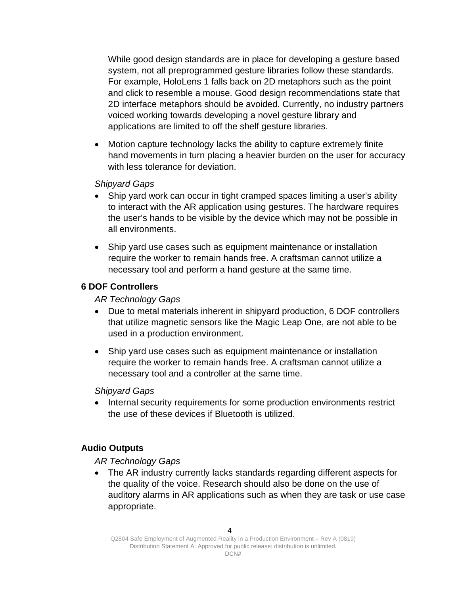While good design standards are in place for developing a gesture based system, not all preprogrammed gesture libraries follow these standards. For example, HoloLens 1 falls back on 2D metaphors such as the point and click to resemble a mouse. Good design recommendations state that 2D interface metaphors should be avoided. Currently, no industry partners voiced working towards developing a novel gesture library and applications are limited to off the shelf gesture libraries.

• Motion capture technology lacks the ability to capture extremely finite hand movements in turn placing a heavier burden on the user for accuracy with less tolerance for deviation.

#### *Shipyard Gaps*

- Ship yard work can occur in tight cramped spaces limiting a user's ability to interact with the AR application using gestures. The hardware requires the user's hands to be visible by the device which may not be possible in all environments.
- Ship yard use cases such as equipment maintenance or installation require the worker to remain hands free. A craftsman cannot utilize a necessary tool and perform a hand gesture at the same time.

#### <span id="page-9-0"></span>**6 DOF Controllers**

*AR Technology Gaps*

- Due to metal materials inherent in shipyard production, 6 DOF controllers that utilize magnetic sensors like the Magic Leap One, are not able to be used in a production environment.
- Ship yard use cases such as equipment maintenance or installation require the worker to remain hands free. A craftsman cannot utilize a necessary tool and a controller at the same time.

*Shipyard Gaps*

• Internal security requirements for some production environments restrict the use of these devices if Bluetooth is utilized.

### <span id="page-9-1"></span>**Audio Outputs**

*AR Technology Gaps*

• The AR industry currently lacks standards regarding different aspects for the quality of the voice. Research should also be done on the use of auditory alarms in AR applications such as when they are task or use case appropriate.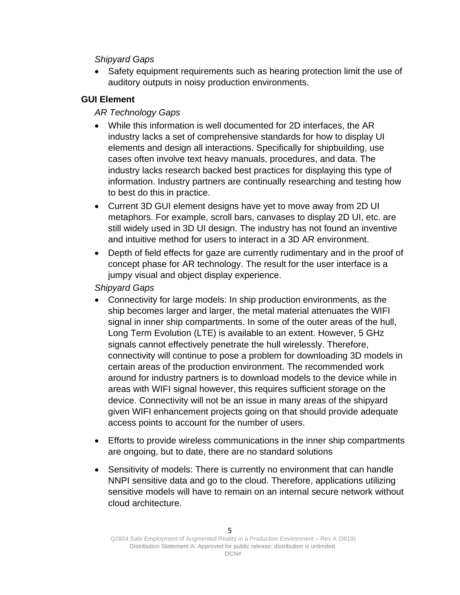### *Shipyard Gaps*

• Safety equipment requirements such as hearing protection limit the use of auditory outputs in noisy production environments.

### <span id="page-10-0"></span>**GUI Element**

### *AR Technology Gaps*

- While this information is well documented for 2D interfaces, the AR industry lacks a set of comprehensive standards for how to display UI elements and design all interactions. Specifically for shipbuilding, use cases often involve text heavy manuals, procedures, and data. The industry lacks research backed best practices for displaying this type of information. Industry partners are continually researching and testing how to best do this in practice.
- Current 3D GUI element designs have yet to move away from 2D UI metaphors. For example, scroll bars, canvases to display 2D UI, etc. are still widely used in 3D UI design. The industry has not found an inventive and intuitive method for users to interact in a 3D AR environment.
- Depth of field effects for gaze are currently rudimentary and in the proof of concept phase for AR technology. The result for the user interface is a jumpy visual and object display experience.

### *Shipyard Gaps*

- Connectivity for large models: In ship production environments, as the ship becomes larger and larger, the metal material attenuates the WIFI signal in inner ship compartments. In some of the outer areas of the hull, Long Term Evolution (LTE) is available to an extent. However, 5 GHz signals cannot effectively penetrate the hull wirelessly. Therefore, connectivity will continue to pose a problem for downloading 3D models in certain areas of the production environment. The recommended work around for industry partners is to download models to the device while in areas with WIFI signal however, this requires sufficient storage on the device. Connectivity will not be an issue in many areas of the shipyard given WIFI enhancement projects going on that should provide adequate access points to account for the number of users.
- Efforts to provide wireless communications in the inner ship compartments are ongoing, but to date, there are no standard solutions
- Sensitivity of models: There is currently no environment that can handle NNPI sensitive data and go to the cloud. Therefore, applications utilizing sensitive models will have to remain on an internal secure network without cloud architecture.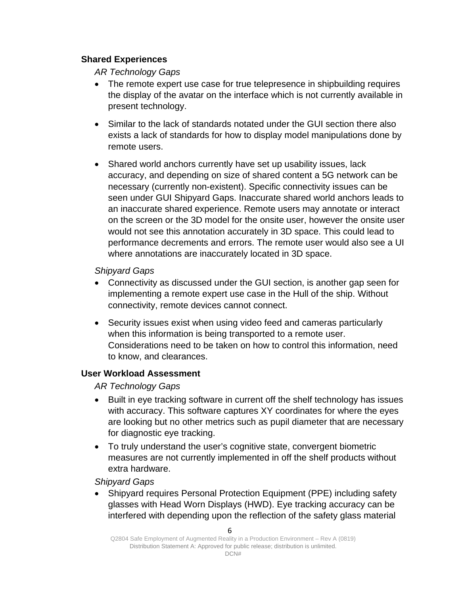### <span id="page-11-0"></span>**Shared Experiences**

*AR Technology Gaps*

- The remote expert use case for true telepresence in shipbuilding requires the display of the avatar on the interface which is not currently available in present technology.
- Similar to the lack of standards notated under the GUI section there also exists a lack of standards for how to display model manipulations done by remote users.
- Shared world anchors currently have set up usability issues, lack accuracy, and depending on size of shared content a 5G network can be necessary (currently non-existent). Specific connectivity issues can be seen under GUI Shipyard Gaps. Inaccurate shared world anchors leads to an inaccurate shared experience. Remote users may annotate or interact on the screen or the 3D model for the onsite user, however the onsite user would not see this annotation accurately in 3D space. This could lead to performance decrements and errors. The remote user would also see a UI where annotations are inaccurately located in 3D space.

*Shipyard Gaps*

- Connectivity as discussed under the GUI section, is another gap seen for implementing a remote expert use case in the Hull of the ship. Without connectivity, remote devices cannot connect.
- Security issues exist when using video feed and cameras particularly when this information is being transported to a remote user. Considerations need to be taken on how to control this information, need to know, and clearances.

### <span id="page-11-1"></span>**User Workload Assessment**

*AR Technology Gaps*

- Built in eye tracking software in current off the shelf technology has issues with accuracy. This software captures XY coordinates for where the eyes are looking but no other metrics such as pupil diameter that are necessary for diagnostic eye tracking.
- To truly understand the user's cognitive state, convergent biometric measures are not currently implemented in off the shelf products without extra hardware.

*Shipyard Gaps*

• Shipyard requires Personal Protection Equipment (PPE) including safety glasses with Head Worn Displays (HWD). Eye tracking accuracy can be interfered with depending upon the reflection of the safety glass material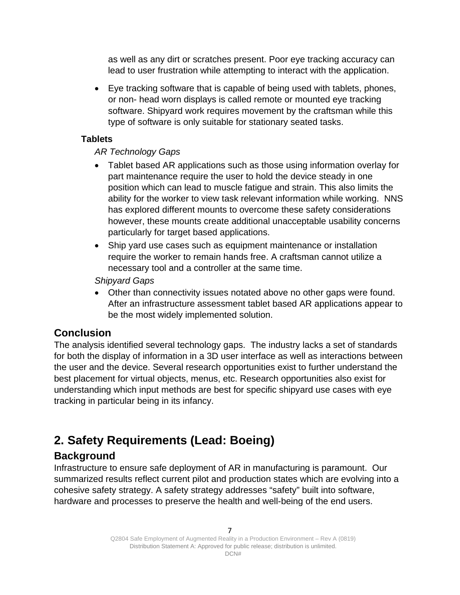as well as any dirt or scratches present. Poor eye tracking accuracy can lead to user frustration while attempting to interact with the application.

• Eye tracking software that is capable of being used with tablets, phones, or non- head worn displays is called remote or mounted eye tracking software. Shipyard work requires movement by the craftsman while this type of software is only suitable for stationary seated tasks.

### <span id="page-12-0"></span>**Tablets**

### *AR Technology Gaps*

- Tablet based AR applications such as those using information overlay for part maintenance require the user to hold the device steady in one position which can lead to muscle fatigue and strain. This also limits the ability for the worker to view task relevant information while working. NNS has explored different mounts to overcome these safety considerations however, these mounts create additional unacceptable usability concerns particularly for target based applications.
- Ship yard use cases such as equipment maintenance or installation require the worker to remain hands free. A craftsman cannot utilize a necessary tool and a controller at the same time.

### *Shipyard Gaps*

• Other than connectivity issues notated above no other gaps were found. After an infrastructure assessment tablet based AR applications appear to be the most widely implemented solution.

## <span id="page-12-1"></span>**Conclusion**

The analysis identified several technology gaps. The industry lacks a set of standards for both the display of information in a 3D user interface as well as interactions between the user and the device. Several research opportunities exist to further understand the best placement for virtual objects, menus, etc. Research opportunities also exist for understanding which input methods are best for specific shipyard use cases with eye tracking in particular being in its infancy.

# <span id="page-12-2"></span>**2. Safety Requirements (Lead: Boeing)**

# <span id="page-12-3"></span>**Background**

Infrastructure to ensure safe deployment of AR in manufacturing is paramount. Our summarized results reflect current pilot and production states which are evolving into a cohesive safety strategy. A safety strategy addresses "safety" built into software, hardware and processes to preserve the health and well-being of the end users.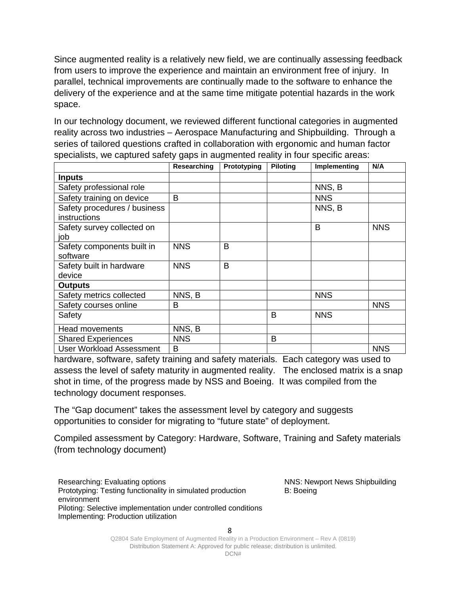Since augmented reality is a relatively new field, we are continually assessing feedback from users to improve the experience and maintain an environment free of injury. In parallel, technical improvements are continually made to the software to enhance the delivery of the experience and at the same time mitigate potential hazards in the work space.

In our technology document, we reviewed different functional categories in augmented reality across two industries – Aerospace Manufacturing and Shipbuilding. Through a series of tailored questions crafted in collaboration with ergonomic and human factor specialists, we captured safety gaps in augmented reality in four specific areas:

|                                              | Researching | Prototyping | <b>Piloting</b> | Implementing | N/A        |
|----------------------------------------------|-------------|-------------|-----------------|--------------|------------|
| <b>Inputs</b>                                |             |             |                 |              |            |
| Safety professional role                     |             |             |                 | NNS, B       |            |
| Safety training on device                    | B           |             |                 | <b>NNS</b>   |            |
| Safety procedures / business<br>instructions |             |             |                 | NNS, B       |            |
| Safety survey collected on<br>job            |             |             |                 | B            | <b>NNS</b> |
| Safety components built in<br>software       | <b>NNS</b>  | B           |                 |              |            |
| Safety built in hardware<br>device           | <b>NNS</b>  | B           |                 |              |            |
| <b>Outputs</b>                               |             |             |                 |              |            |
| Safety metrics collected                     | NNS, B      |             |                 | <b>NNS</b>   |            |
| Safety courses online                        | B           |             |                 |              | <b>NNS</b> |
| Safety                                       |             |             | B               | <b>NNS</b>   |            |
| <b>Head movements</b>                        | NNS, B      |             |                 |              |            |
| <b>Shared Experiences</b>                    | <b>NNS</b>  |             | B               |              |            |
| <b>User Workload Assessment</b>              | B           |             |                 |              | <b>NNS</b> |

hardware, software, safety training and safety materials. Each category was used to assess the level of safety maturity in augmented reality. The enclosed matrix is a snap shot in time, of the progress made by NSS and Boeing. It was compiled from the technology document responses.

The "Gap document" takes the assessment level by category and suggests opportunities to consider for migrating to "future state" of deployment.

Compiled assessment by Category: Hardware, Software, Training and Safety materials (from technology document)

Researching: Evaluating options Prototyping: Testing functionality in simulated production environment Piloting: Selective implementation under controlled conditions Implementing: Production utilization

NNS: Newport News Shipbuilding B: Boeing

8

Q2804 Safe Employment of Augmented Reality in a Production Environment – Rev A (0819) Distribution Statement A: Approved for public release; distribution is unlimited.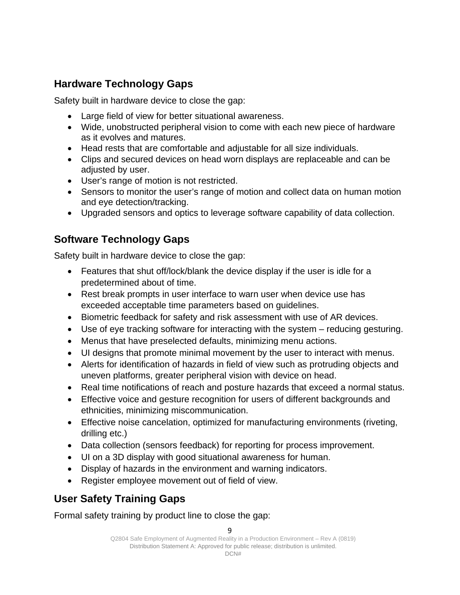# <span id="page-14-0"></span>**Hardware Technology Gaps**

Safety built in hardware device to close the gap:

- Large field of view for better situational awareness.
- Wide, unobstructed peripheral vision to come with each new piece of hardware as it evolves and matures.
- Head rests that are comfortable and adjustable for all size individuals.
- Clips and secured devices on head worn displays are replaceable and can be adjusted by user.
- User's range of motion is not restricted.
- Sensors to monitor the user's range of motion and collect data on human motion and eye detection/tracking.
- Upgraded sensors and optics to leverage software capability of data collection.

# <span id="page-14-1"></span>**Software Technology Gaps**

Safety built in hardware device to close the gap:

- Features that shut off/lock/blank the device display if the user is idle for a predetermined about of time.
- Rest break prompts in user interface to warn user when device use has exceeded acceptable time parameters based on guidelines.
- Biometric feedback for safety and risk assessment with use of AR devices.
- Use of eye tracking software for interacting with the system reducing gesturing.
- Menus that have preselected defaults, minimizing menu actions.
- UI designs that promote minimal movement by the user to interact with menus.
- Alerts for identification of hazards in field of view such as protruding objects and uneven platforms, greater peripheral vision with device on head.
- Real time notifications of reach and posture hazards that exceed a normal status.
- Effective voice and gesture recognition for users of different backgrounds and ethnicities, minimizing miscommunication.
- Effective noise cancelation, optimized for manufacturing environments (riveting, drilling etc.)
- Data collection (sensors feedback) for reporting for process improvement.
- UI on a 3D display with good situational awareness for human.
- Display of hazards in the environment and warning indicators.
- Register employee movement out of field of view.

# <span id="page-14-2"></span>**User Safety Training Gaps**

Formal safety training by product line to close the gap: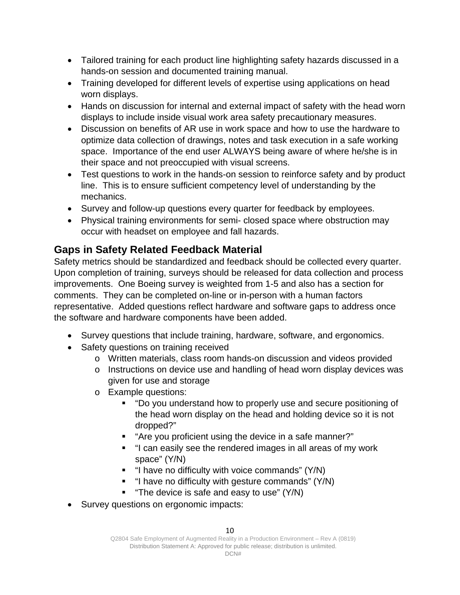- Tailored training for each product line highlighting safety hazards discussed in a hands-on session and documented training manual.
- Training developed for different levels of expertise using applications on head worn displays.
- Hands on discussion for internal and external impact of safety with the head worn displays to include inside visual work area safety precautionary measures.
- Discussion on benefits of AR use in work space and how to use the hardware to optimize data collection of drawings, notes and task execution in a safe working space. Importance of the end user ALWAYS being aware of where he/she is in their space and not preoccupied with visual screens.
- Test questions to work in the hands-on session to reinforce safety and by product line. This is to ensure sufficient competency level of understanding by the mechanics.
- Survey and follow-up questions every quarter for feedback by employees.
- Physical training environments for semi- closed space where obstruction may occur with headset on employee and fall hazards.

# <span id="page-15-0"></span>**Gaps in Safety Related Feedback Material**

Safety metrics should be standardized and feedback should be collected every quarter. Upon completion of training, surveys should be released for data collection and process improvements. One Boeing survey is weighted from 1-5 and also has a section for comments. They can be completed on-line or in-person with a human factors representative. Added questions reflect hardware and software gaps to address once the software and hardware components have been added.

- Survey questions that include training, hardware, software, and ergonomics.
- Safety questions on training received
	- o Written materials, class room hands-on discussion and videos provided
	- o Instructions on device use and handling of head worn display devices was given for use and storage
	- o Example questions:
		- "Do you understand how to properly use and secure positioning of the head worn display on the head and holding device so it is not dropped?"
		- "Are you proficient using the device in a safe manner?"
		- "I can easily see the rendered images in all areas of my work space" (Y/N)
		- $\blacksquare$  "I have no difficulty with voice commands" (Y/N)
		- "I have no difficulty with gesture commands" (Y/N)
		- **The device is safe and easy to use" (Y/N)**
- Survey questions on ergonomic impacts: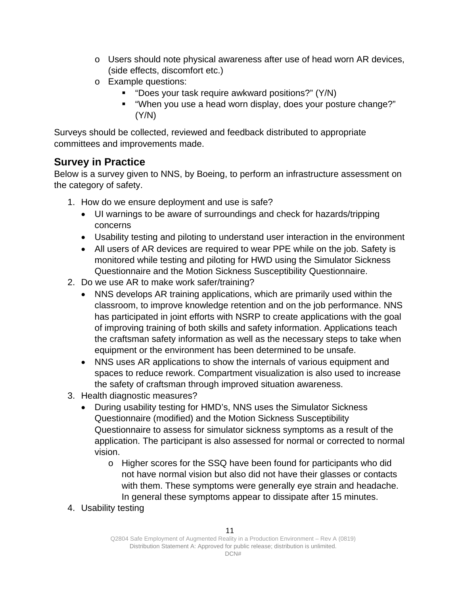- $\circ$  Users should note physical awareness after use of head worn AR devices, (side effects, discomfort etc.)
- o Example questions:
	- "Does your task require awkward positions?" (Y/N)
	- "When you use a head worn display, does your posture change?" (Y/N)

Surveys should be collected, reviewed and feedback distributed to appropriate committees and improvements made.

# <span id="page-16-0"></span>**Survey in Practice**

Below is a survey given to NNS, by Boeing, to perform an infrastructure assessment on the category of safety.

- 1. How do we ensure deployment and use is safe?
	- UI warnings to be aware of surroundings and check for hazards/tripping concerns
	- Usability testing and piloting to understand user interaction in the environment
	- All users of AR devices are required to wear PPE while on the job. Safety is monitored while testing and piloting for HWD using the Simulator Sickness Questionnaire and the Motion Sickness Susceptibility Questionnaire.
- 2. Do we use AR to make work safer/training?
	- NNS develops AR training applications, which are primarily used within the classroom, to improve knowledge retention and on the job performance. NNS has participated in joint efforts with NSRP to create applications with the goal of improving training of both skills and safety information. Applications teach the craftsman safety information as well as the necessary steps to take when equipment or the environment has been determined to be unsafe.
	- NNS uses AR applications to show the internals of various equipment and spaces to reduce rework. Compartment visualization is also used to increase the safety of craftsman through improved situation awareness.
- 3. Health diagnostic measures?
	- During usability testing for HMD's, NNS uses the Simulator Sickness Questionnaire (modified) and the Motion Sickness Susceptibility Questionnaire to assess for simulator sickness symptoms as a result of the application. The participant is also assessed for normal or corrected to normal vision.
		- o Higher scores for the SSQ have been found for participants who did not have normal vision but also did not have their glasses or contacts with them. These symptoms were generally eye strain and headache. In general these symptoms appear to dissipate after 15 minutes.
- 4. Usability testing

Q2804 Safe Employment of Augmented Reality in a Production Environment – Rev A (0819) Distribution Statement A: Approved for public release; distribution is unlimited.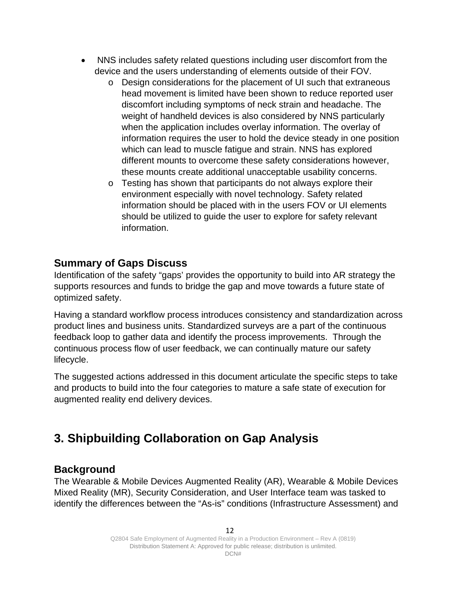- NNS includes safety related questions including user discomfort from the device and the users understanding of elements outside of their FOV.
	- o Design considerations for the placement of UI such that extraneous head movement is limited have been shown to reduce reported user discomfort including symptoms of neck strain and headache. The weight of handheld devices is also considered by NNS particularly when the application includes overlay information. The overlay of information requires the user to hold the device steady in one position which can lead to muscle fatigue and strain. NNS has explored different mounts to overcome these safety considerations however, these mounts create additional unacceptable usability concerns.
	- o Testing has shown that participants do not always explore their environment especially with novel technology. Safety related information should be placed with in the users FOV or UI elements should be utilized to guide the user to explore for safety relevant information.

### <span id="page-17-0"></span>**Summary of Gaps Discuss**

Identification of the safety "gaps' provides the opportunity to build into AR strategy the supports resources and funds to bridge the gap and move towards a future state of optimized safety.

Having a standard workflow process introduces consistency and standardization across product lines and business units. Standardized surveys are a part of the continuous feedback loop to gather data and identify the process improvements. Through the continuous process flow of user feedback, we can continually mature our safety lifecycle.

The suggested actions addressed in this document articulate the specific steps to take and products to build into the four categories to mature a safe state of execution for augmented reality end delivery devices.

# <span id="page-17-1"></span>**3. Shipbuilding Collaboration on Gap Analysis**

### <span id="page-17-2"></span>**Background**

The Wearable & Mobile Devices Augmented Reality (AR), Wearable & Mobile Devices Mixed Reality (MR), Security Consideration, and User Interface team was tasked to identify the differences between the "As-is" conditions (Infrastructure Assessment) and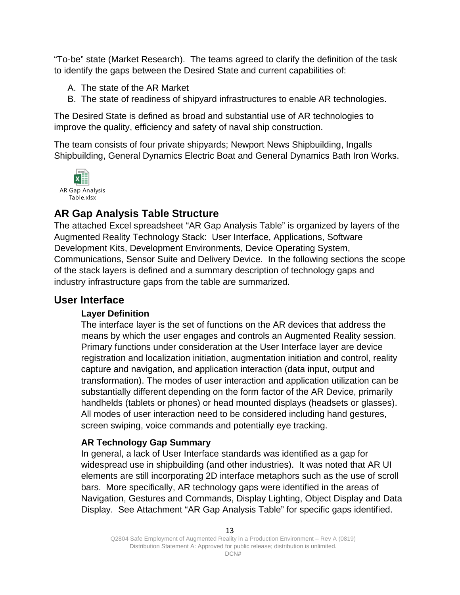"To-be" state (Market Research). The teams agreed to clarify the definition of the task to identify the gaps between the Desired State and current capabilities of:

- A. The state of the AR Market
- B. The state of readiness of shipyard infrastructures to enable AR technologies.

The Desired State is defined as broad and substantial use of AR technologies to improve the quality, efficiency and safety of naval ship construction.

The team consists of four private shipyards; Newport News Shipbuilding, Ingalls Shipbuilding, General Dynamics Electric Boat and General Dynamics Bath Iron Works.

<span id="page-18-5"></span><span id="page-18-0"></span>

## <span id="page-18-1"></span>**AR Gap Analysis Table Structure**

The attached Excel spreadsheet "AR Gap Analysis Table" is organized by layers of the Augmented Reality Technology Stack: User Interface, Applications, Software Development Kits, Development Environments, Device Operating System, Communications, Sensor Suite and Delivery Device. In the following sections the scope of the stack layers is defined and a summary description of technology gaps and industry infrastructure gaps from the table are summarized.

### <span id="page-18-3"></span><span id="page-18-2"></span>**User Interface**

### **Layer Definition**

The interface layer is the set of functions on the AR devices that address the means by which the user engages and controls an Augmented Reality session. Primary functions under consideration at the User Interface layer are device registration and localization initiation, augmentation initiation and control, reality capture and navigation, and application interaction (data input, output and transformation). The modes of user interaction and application utilization can be substantially different depending on the form factor of the AR Device, primarily handhelds (tablets or phones) or head mounted displays (headsets or glasses). All modes of user interaction need to be considered including hand gestures, screen swiping, voice commands and potentially eye tracking.

### <span id="page-18-4"></span>**AR Technology Gap Summary**

In general, a lack of User Interface standards was identified as a gap for widespread use in shipbuilding (and other industries). It was noted that AR UI elements are still incorporating 2D interface metaphors such as the use of scroll bars. More specifically, AR technology gaps were identified in the areas of Navigation, Gestures and Commands, Display Lighting, Object Display and Data Display. See Attachment "AR Gap Analysis Table" for specific gaps identified.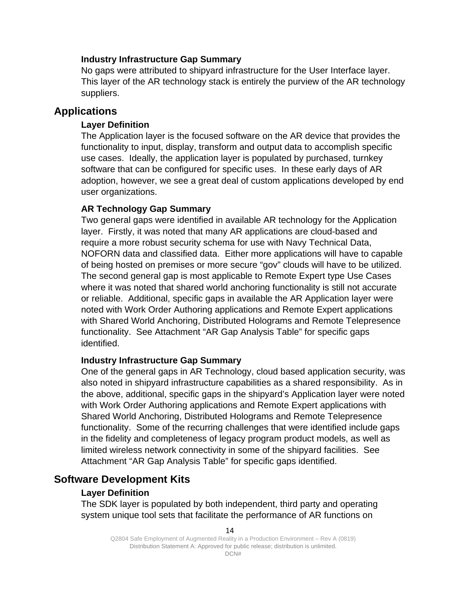### <span id="page-19-0"></span>**Industry Infrastructure Gap Summary**

No gaps were attributed to shipyard infrastructure for the User Interface layer. This layer of the AR technology stack is entirely the purview of the AR technology suppliers.

### <span id="page-19-2"></span><span id="page-19-1"></span>**Applications**

### **Layer Definition**

The Application layer is the focused software on the AR device that provides the functionality to input, display, transform and output data to accomplish specific use cases. Ideally, the application layer is populated by purchased, turnkey software that can be configured for specific uses. In these early days of AR adoption, however, we see a great deal of custom applications developed by end user organizations.

### <span id="page-19-3"></span>**AR Technology Gap Summary**

Two general gaps were identified in available AR technology for the Application layer. Firstly, it was noted that many AR applications are cloud-based and require a more robust security schema for use with Navy Technical Data, NOFORN data and classified data. Either more applications will have to capable of being hosted on premises or more secure "gov" clouds will have to be utilized. The second general gap is most applicable to Remote Expert type Use Cases where it was noted that shared world anchoring functionality is still not accurate or reliable. Additional, specific gaps in available the AR Application layer were noted with Work Order Authoring applications and Remote Expert applications with Shared World Anchoring, Distributed Holograms and Remote Telepresence functionality. See Attachment "AR Gap Analysis Table" for specific gaps identified.

### <span id="page-19-4"></span>**Industry Infrastructure Gap Summary**

One of the general gaps in AR Technology, cloud based application security, was also noted in shipyard infrastructure capabilities as a shared responsibility. As in the above, additional, specific gaps in the shipyard's Application layer were noted with Work Order Authoring applications and Remote Expert applications with Shared World Anchoring, Distributed Holograms and Remote Telepresence functionality. Some of the recurring challenges that were identified include gaps in the fidelity and completeness of legacy program product models, as well as limited wireless network connectivity in some of the shipyard facilities. See Attachment "AR Gap Analysis Table" for specific gaps identified.

### <span id="page-19-6"></span><span id="page-19-5"></span>**Software Development Kits**

### **Layer Definition**

The SDK layer is populated by both independent, third party and operating system unique tool sets that facilitate the performance of AR functions on

Q2804 Safe Employment of Augmented Reality in a Production Environment – Rev A (0819) Distribution Statement A: Approved for public release; distribution is unlimited.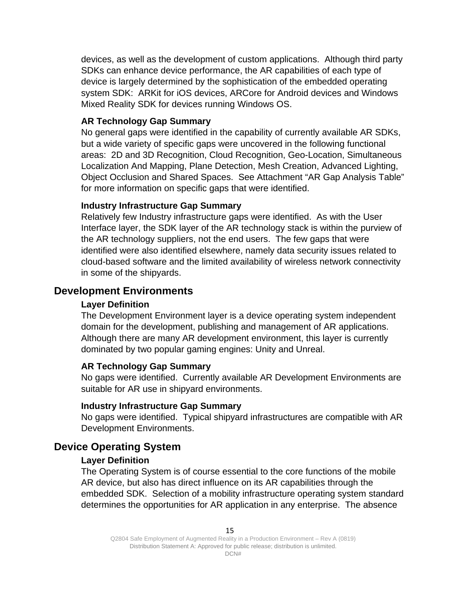devices, as well as the development of custom applications. Although third party SDKs can enhance device performance, the AR capabilities of each type of device is largely determined by the sophistication of the embedded operating system SDK: ARKit for iOS devices, ARCore for Android devices and Windows Mixed Reality SDK for devices running Windows OS.

### <span id="page-20-0"></span>**AR Technology Gap Summary**

No general gaps were identified in the capability of currently available AR SDKs, but a wide variety of specific gaps were uncovered in the following functional areas: 2D and 3D Recognition, Cloud Recognition, Geo-Location, Simultaneous Localization And Mapping, Plane Detection, Mesh Creation, Advanced Lighting, Object Occlusion and Shared Spaces. See Attachment "AR Gap Analysis Table" for more information on specific gaps that were identified.

#### <span id="page-20-1"></span>**Industry Infrastructure Gap Summary**

Relatively few Industry infrastructure gaps were identified. As with the User Interface layer, the SDK layer of the AR technology stack is within the purview of the AR technology suppliers, not the end users. The few gaps that were identified were also identified elsewhere, namely data security issues related to cloud-based software and the limited availability of wireless network connectivity in some of the shipyards.

### <span id="page-20-3"></span><span id="page-20-2"></span>**Development Environments**

### **Layer Definition**

The Development Environment layer is a device operating system independent domain for the development, publishing and management of AR applications. Although there are many AR development environment, this layer is currently dominated by two popular gaming engines: Unity and Unreal.

#### <span id="page-20-4"></span>**AR Technology Gap Summary**

No gaps were identified. Currently available AR Development Environments are suitable for AR use in shipyard environments.

#### <span id="page-20-5"></span>**Industry Infrastructure Gap Summary**

No gaps were identified. Typical shipyard infrastructures are compatible with AR Development Environments.

### <span id="page-20-7"></span><span id="page-20-6"></span>**Device Operating System**

### **Layer Definition**

The Operating System is of course essential to the core functions of the mobile AR device, but also has direct influence on its AR capabilities through the embedded SDK. Selection of a mobility infrastructure operating system standard determines the opportunities for AR application in any enterprise. The absence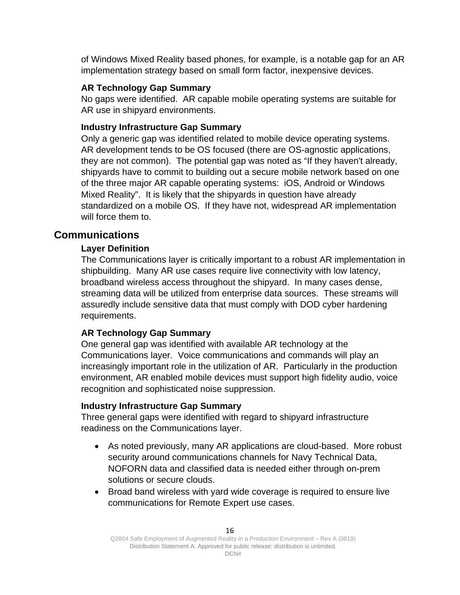of Windows Mixed Reality based phones, for example, is a notable gap for an AR implementation strategy based on small form factor, inexpensive devices.

### <span id="page-21-0"></span>**AR Technology Gap Summary**

No gaps were identified. AR capable mobile operating systems are suitable for AR use in shipyard environments.

### <span id="page-21-1"></span>**Industry Infrastructure Gap Summary**

Only a generic gap was identified related to mobile device operating systems. AR development tends to be OS focused (there are OS-agnostic applications, they are not common). The potential gap was noted as "If they haven't already, shipyards have to commit to building out a secure mobile network based on one of the three major AR capable operating systems: iOS, Android or Windows Mixed Reality". It is likely that the shipyards in question have already standardized on a mobile OS. If they have not, widespread AR implementation will force them to.

### <span id="page-21-3"></span><span id="page-21-2"></span>**Communications**

### **Layer Definition**

The Communications layer is critically important to a robust AR implementation in shipbuilding. Many AR use cases require live connectivity with low latency, broadband wireless access throughout the shipyard. In many cases dense, streaming data will be utilized from enterprise data sources. These streams will assuredly include sensitive data that must comply with DOD cyber hardening requirements.

### <span id="page-21-4"></span>**AR Technology Gap Summary**

One general gap was identified with available AR technology at the Communications layer. Voice communications and commands will play an increasingly important role in the utilization of AR. Particularly in the production environment, AR enabled mobile devices must support high fidelity audio, voice recognition and sophisticated noise suppression.

### <span id="page-21-5"></span>**Industry Infrastructure Gap Summary**

Three general gaps were identified with regard to shipyard infrastructure readiness on the Communications layer.

- As noted previously, many AR applications are cloud-based. More robust security around communications channels for Navy Technical Data, NOFORN data and classified data is needed either through on-prem solutions or secure clouds.
- Broad band wireless with yard wide coverage is required to ensure live communications for Remote Expert use cases.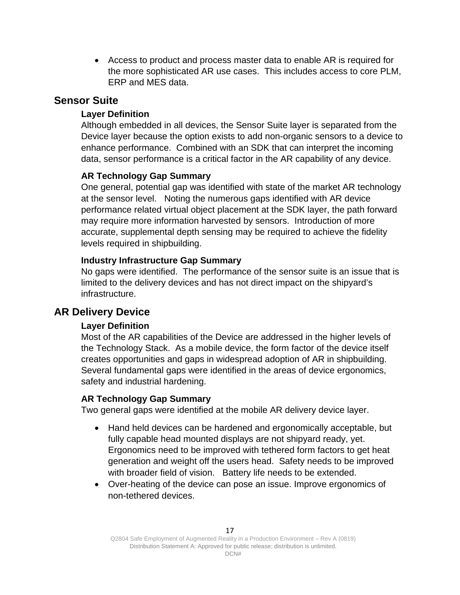• Access to product and process master data to enable AR is required for the more sophisticated AR use cases. This includes access to core PLM, ERP and MES data.

### <span id="page-22-1"></span><span id="page-22-0"></span>**Sensor Suite**

### **Layer Definition**

Although embedded in all devices, the Sensor Suite layer is separated from the Device layer because the option exists to add non-organic sensors to a device to enhance performance. Combined with an SDK that can interpret the incoming data, sensor performance is a critical factor in the AR capability of any device.

### <span id="page-22-2"></span>**AR Technology Gap Summary**

One general, potential gap was identified with state of the market AR technology at the sensor level. Noting the numerous gaps identified with AR device performance related virtual object placement at the SDK layer, the path forward may require more information harvested by sensors. Introduction of more accurate, supplemental depth sensing may be required to achieve the fidelity levels required in shipbuilding.

### <span id="page-22-3"></span>**Industry Infrastructure Gap Summary**

No gaps were identified. The performance of the sensor suite is an issue that is limited to the delivery devices and has not direct impact on the shipyard's infrastructure.

### <span id="page-22-5"></span><span id="page-22-4"></span>**AR Delivery Device**

### **Layer Definition**

Most of the AR capabilities of the Device are addressed in the higher levels of the Technology Stack. As a mobile device, the form factor of the device itself creates opportunities and gaps in widespread adoption of AR in shipbuilding. Several fundamental gaps were identified in the areas of device ergonomics, safety and industrial hardening.

### <span id="page-22-6"></span>**AR Technology Gap Summary**

Two general gaps were identified at the mobile AR delivery device layer.

- Hand held devices can be hardened and ergonomically acceptable, but fully capable head mounted displays are not shipyard ready, yet. Ergonomics need to be improved with tethered form factors to get heat generation and weight off the users head. Safety needs to be improved with broader field of vision. Battery life needs to be extended.
- Over-heating of the device can pose an issue. Improve ergonomics of non-tethered devices.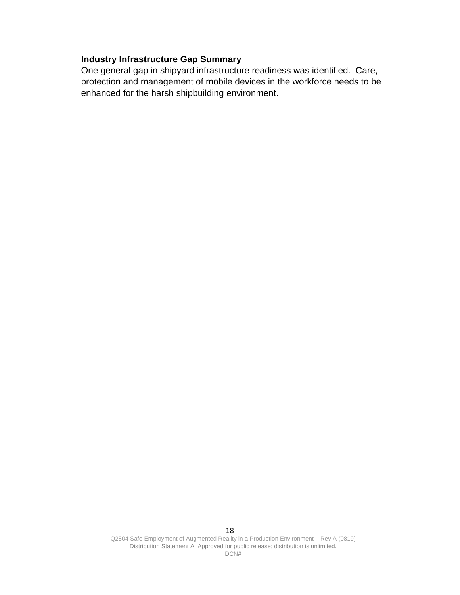### <span id="page-23-0"></span>**Industry Infrastructure Gap Summary**

One general gap in shipyard infrastructure readiness was identified. Care, protection and management of mobile devices in the workforce needs to be enhanced for the harsh shipbuilding environment.

Q2804 Safe Employment of Augmented Reality in a Production Environment – Rev A (0819) Distribution Statement A: Approved for public release; distribution is unlimited. DCN#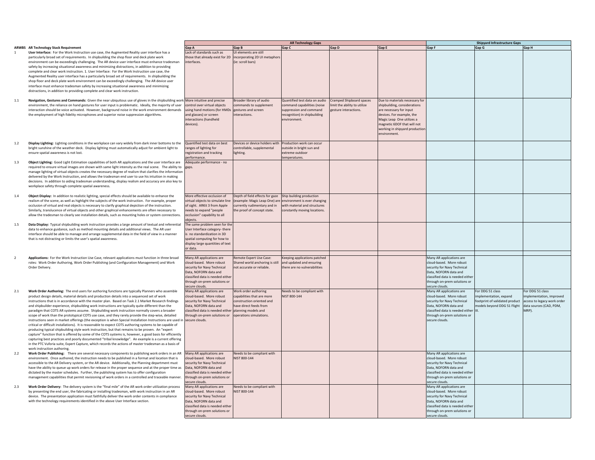| 1                       | <b>ARWBS</b> AR Technology Stack Requirement<br>User Interface: For the Work Instruction use case, the Augmented Reality user interface has a<br>particularly broad set of requirements. In shipbuilding the shop floor and deck plate work<br>environment can be exceedingly challenging. The AR device user interface must enhance tradesman<br>safety by increasing situational awareness and minimizing distractions, in addition to providing<br>complete and clear work instruction. 1. User Interface: For the Work Instruction use case, the<br>Augmented Reality user interface has a particularly broad set of requirements. In shipbuilding the<br>shop floor and deck plate work environment can be exceedingly challenging. The AR device user<br>interface must enhance tradesman safety by increasing situational awareness and minimizing<br>distractions, in addition to providing complete and clear work instruction.                                                                                                                                                                                                                                                                                                                                                                   | Gap A<br>Lack of standards such as<br>those that already exist fi<br>interfaces.                                                                                                     |
|-------------------------|------------------------------------------------------------------------------------------------------------------------------------------------------------------------------------------------------------------------------------------------------------------------------------------------------------------------------------------------------------------------------------------------------------------------------------------------------------------------------------------------------------------------------------------------------------------------------------------------------------------------------------------------------------------------------------------------------------------------------------------------------------------------------------------------------------------------------------------------------------------------------------------------------------------------------------------------------------------------------------------------------------------------------------------------------------------------------------------------------------------------------------------------------------------------------------------------------------------------------------------------------------------------------------------------------------|--------------------------------------------------------------------------------------------------------------------------------------------------------------------------------------|
| $1.1\,$                 | Navigation, Gestures and Commands: Given the near ubiquitous use of gloves in the shipbuilding work<br>environment, the reliance on hand gestures for user input is problematic. Ideally, the majority of user<br>interaction should be voice activated. However, background noise in the work environment demands<br>the employment of high fidelity microphones and superior noise suppression algorithms.                                                                                                                                                                                                                                                                                                                                                                                                                                                                                                                                                                                                                                                                                                                                                                                                                                                                                               | More intuitive and precis<br>control over virtual objec<br>using hand motions (for I<br>and glasses) or screen<br>interactions (handheld<br>devices).                                |
| $1.2\,$                 | Display Lighting: Lighting conditions in the workplace can vary widely from dark inner bottoms to the<br>bright sunshine of the weather deck. Display lighting must automatically adjust for ambient light to<br>ensure spatial awareness is not lost.                                                                                                                                                                                                                                                                                                                                                                                                                                                                                                                                                                                                                                                                                                                                                                                                                                                                                                                                                                                                                                                     | Quantified test data on b<br>ranges of lighting for<br>registration and tracking<br>performance.                                                                                     |
| 1.3                     | Object Lighting: Good Light Estimation capabilities of both AR applications and the user interface are<br>required to ensure virtual images are shown with same light intensity as the real scene. The ability to<br>manage lighting of virtual objects creates the necessary degree of realism that clarifies the information<br>delivered by the Work Instruction, and allows the tradesman end user to use his intuition in making<br>decisions. In addition to aiding tradesman understanding, display realism and accuracy are also key to<br>workplace safety through complete spatial awareness.                                                                                                                                                                                                                                                                                                                                                                                                                                                                                                                                                                                                                                                                                                    | Adequate performance -<br>gaps.                                                                                                                                                      |
| 1.4                     | Object Display: In addition to realistic lighting, special effects should be available to enhance the<br>realism of the scene, as well as highlight the subjects of the work instruction. For example, proper<br>occlusion of virtual and real objects is necessary to clarify graphical depiction of the instruction.<br>Similarly, translucence of virtual objects and other graphical enhancements are often necessary to<br>allow the tradesman to clearly see installation details, such as mounting holes or system connections.                                                                                                                                                                                                                                                                                                                                                                                                                                                                                                                                                                                                                                                                                                                                                                     | More effective occlusion<br>virtual objects to simulate<br>of sight. ARKit 3 from Ap<br>needs to expand "people<br>occlusion" capability to a<br>objects.                            |
| 1.5                     | Data Display: Typical shipbuilding work instruction provides a large amount of textual and referential<br>data to enhance guidance, such as method mounting details and additional views. The AR user<br>interface should be able to manage and arrange supplemental data in the field of view in a manner<br>that is not distracting or limits the user's spatial awareness.                                                                                                                                                                                                                                                                                                                                                                                                                                                                                                                                                                                                                                                                                                                                                                                                                                                                                                                              | The same problem seen f<br>User Interface category-1<br>is no standardization in 3<br>spatial computing for hov<br>display large quantities o<br>or data.                            |
| $\overline{\mathbf{2}}$ | Applications: For the Work Instruction Use Case, relevant applications must function in three broad<br>roles: Work Order Authoring, Work Order Publishing (and Configuration Management) and Work<br>Order Delivery.                                                                                                                                                                                                                                                                                                                                                                                                                                                                                                                                                                                                                                                                                                                                                                                                                                                                                                                                                                                                                                                                                       | Many AR applications are<br>cloud-based. More robu:<br>security for Navy Technic<br>Data, NOFORN data and<br>classified data is needed<br>through on-prem solutior<br>secure clouds. |
| 2.1                     | Work Order Authoring: The end users for authoring functions are typically Planners who assemble<br>product design details, material details and production details into a sequenced set of work<br>instructions that is in accordance with the master plan. Based on Task 2.1 Market Research findings<br>and shipbuilder experience, shipbuilding work instructions are typically quite different than the<br>paradigm that COTS AR systems assume. Shipbuilding work instruction normally covers a broader<br>scope of work than the prototypical COTS use case, and they rarely provide the step-wise, detailed<br>instructions seen in market offerings (the exception is when Special Installation Instructions are used in<br>critical or difficult installations). It is reasonable to expect COTS authoring systems to be capable of<br>producing typical shipbuilding style work instruction, but that remains to be proven. An "expert<br>capture" function that is offered by some of the COTS systems is, however, a good basis for efficiently<br>capturing best practices and poorly documented "tribal knowledge". An example is a current offering<br>in the PTC Vuforia suite, Expert Capture, which records the actions of master tradesman as a basis of<br>work instruction authoring. | Many AR applications are<br>cloud-based. More robus<br>security for Navy Technic<br>Data, NOFORN data and<br>classified data is needed<br>through on-prem solutior<br>secure clouds. |
| 2.2                     | Work Order Publishing: There are several necessary components to publishing work orders in an AR<br>environment. Once authored, the instruction needs to be published in a format and location that is<br>cressible to the AR Delivery system or the AR device Additionally the Planning department must                                                                                                                                                                                                                                                                                                                                                                                                                                                                                                                                                                                                                                                                                                                                                                                                                                                                                                                                                                                                   | Many AR applications are<br>cloud-based. More robus<br>equrity for Naw Technic                                                                                                       |

accessible to the AR Delivery system, or the AR device. Additionally, the Planning department must have the ability to queue up work orders for release in the proper sequence and at the proper time as dictated by the master schedules. Further, the publishing system has to offer configuration management capabilities that permit revisioning of work orders in <sup>a</sup> controlled and traceable manner.

2.3 **Work Order Delivery:** The delivery system is the "final mile" of the AR work order utilization process by presenting the end user, the fabricating or installing tradesman, with work instruction in an AR device. The presentation application must faithfully deliver the work order contents in compliance with the technology requirements identified in the above User Interface section.

|                                                                                                                                                                                                              |                                                                            |                                                    | <b>AR Technology Gaps</b>                              |                                                        |                                                      |                                                           | <b>Shipyard Infrastructure Gaps</b>                        |                          |
|--------------------------------------------------------------------------------------------------------------------------------------------------------------------------------------------------------------|----------------------------------------------------------------------------|----------------------------------------------------|--------------------------------------------------------|--------------------------------------------------------|------------------------------------------------------|-----------------------------------------------------------|------------------------------------------------------------|--------------------------|
| <b>R Technology Stack Requirement</b><br>ser Interface: For the Work Instruction use case, the Augmented Reality user interface has a                                                                        | Gap A<br>ack of standards such as                                          | Gap B<br>UI elements are still                     | Gap C                                                  | Gap D                                                  | Gap E                                                | Gap F                                                     | Gap G                                                      | Gap H                    |
| articularly broad set of requirements. In shipbuilding the shop floor and deck plate work                                                                                                                    | hose that already exist for 2D                                             | incorporating 2D UI metaphors                      |                                                        |                                                        |                                                      |                                                           |                                                            |                          |
| nvironment can be exceedingly challenging. The AR device user interface must enhance tradesman                                                                                                               | terfaces.                                                                  | (ie: scroll bars)                                  |                                                        |                                                        |                                                      |                                                           |                                                            |                          |
| afety by increasing situational awareness and minimizing distractions, in addition to providing                                                                                                              |                                                                            |                                                    |                                                        |                                                        |                                                      |                                                           |                                                            |                          |
| omplete and clear work instruction. 1. User Interface: For the Work Instruction use case, the                                                                                                                |                                                                            |                                                    |                                                        |                                                        |                                                      |                                                           |                                                            |                          |
| ugmented Reality user interface has a particularly broad set of requirements. In shipbuilding the                                                                                                            |                                                                            |                                                    |                                                        |                                                        |                                                      |                                                           |                                                            |                          |
| nop floor and deck plate work environment can be exceedingly challenging. The AR device user                                                                                                                 |                                                                            |                                                    |                                                        |                                                        |                                                      |                                                           |                                                            |                          |
| terface must enhance tradesman safety by increasing situational awareness and minimizing                                                                                                                     |                                                                            |                                                    |                                                        |                                                        |                                                      |                                                           |                                                            |                          |
| istractions, in addition to providing complete and clear work instruction.                                                                                                                                   |                                                                            |                                                    |                                                        |                                                        |                                                      |                                                           |                                                            |                          |
|                                                                                                                                                                                                              |                                                                            |                                                    |                                                        |                                                        |                                                      |                                                           |                                                            |                          |
| avigation, Gestures and Commands: Given the near ubiquitous use of gloves in the shipbuilding work More intuitive and precise                                                                                | control over virtual objects                                               | Broader library of audio<br>commands to supplement | Quantified test data on audio                          | Cramped Shipboard spaces<br>mit the ability to utilize | Due to materials necessary fo                        |                                                           |                                                            |                          |
| nvironment, the reliance on hand gestures for user input is problematic. Ideally, the majority of user                                                                                                       |                                                                            |                                                    | command capabilities (noise<br>suppression and command | zesture interactions.                                  | shipbuilding, considerations                         |                                                           |                                                            |                          |
| teraction should be voice activated. However, background noise in the work environment demands<br>ne employment of high fidelity microphones and superior noise suppression algorithms.                      | using hand motions (for HMDs gestures and screen<br>and glasses) or screen | interactions.                                      | recognition) in shipbuilding                           |                                                        | are necessary for input<br>devices. For example, the |                                                           |                                                            |                          |
|                                                                                                                                                                                                              | nteractions (handheld                                                      |                                                    | nvironment                                             |                                                        | Magic Leap One utilizes a                            |                                                           |                                                            |                          |
|                                                                                                                                                                                                              | devices).                                                                  |                                                    |                                                        |                                                        | magnetic 6DOF that will not                          |                                                           |                                                            |                          |
|                                                                                                                                                                                                              |                                                                            |                                                    |                                                        |                                                        | working in shipyard production                       |                                                           |                                                            |                          |
|                                                                                                                                                                                                              |                                                                            |                                                    |                                                        |                                                        | environment.                                         |                                                           |                                                            |                          |
|                                                                                                                                                                                                              |                                                                            |                                                    |                                                        |                                                        |                                                      |                                                           |                                                            |                          |
| isplay Lighting: Lighting conditions in the workplace can vary widely from dark inner bottoms to the                                                                                                         | Quantified test data on best                                               | Devices or device holders with                     | Production work can occur                              |                                                        |                                                      |                                                           |                                                            |                          |
| right sunshine of the weather deck. Display lighting must automatically adjust for ambient light to                                                                                                          | anges of lighting for                                                      | controllable, supplemental                         | outside in bright sun and                              |                                                        |                                                      |                                                           |                                                            |                          |
| nsure spatial awareness is not lost.                                                                                                                                                                         | egistration and tracking                                                   | lighting.                                          | extreme outdoor                                        |                                                        |                                                      |                                                           |                                                            |                          |
| bject Lighting: Good Light Estimation capabilities of both AR applications and the user interface are                                                                                                        | erformance.<br>Adequate performance - no                                   |                                                    | emperatures.                                           |                                                        |                                                      |                                                           |                                                            |                          |
| equired to ensure virtual images are shown with same light intensity as the real scene. The ability to                                                                                                       | gaps.                                                                      |                                                    |                                                        |                                                        |                                                      |                                                           |                                                            |                          |
| anage lighting of virtual objects creates the necessary degree of realism that clarifies the information                                                                                                     |                                                                            |                                                    |                                                        |                                                        |                                                      |                                                           |                                                            |                          |
| elivered by the Work Instruction, and allows the tradesman end user to use his intuition in making                                                                                                           |                                                                            |                                                    |                                                        |                                                        |                                                      |                                                           |                                                            |                          |
| ecisions. In addition to aiding tradesman understanding, display realism and accuracy are also key to                                                                                                        |                                                                            |                                                    |                                                        |                                                        |                                                      |                                                           |                                                            |                          |
| orkplace safety through complete spatial awareness.                                                                                                                                                          |                                                                            |                                                    |                                                        |                                                        |                                                      |                                                           |                                                            |                          |
|                                                                                                                                                                                                              |                                                                            |                                                    |                                                        |                                                        |                                                      |                                                           |                                                            |                          |
| bject Display: In addition to realistic lighting, special effects should be available to enhance the                                                                                                         | More effective occlusion of                                                | Depth of field effects for gaze                    | Ship building production                               |                                                        |                                                      |                                                           |                                                            |                          |
| ealism of the scene, as well as highlight the subjects of the work instruction. For example, proper                                                                                                          | rirtual obiects to simulate line                                           | (example: Magic Leap One) are                      | environment is ever changing                           |                                                        |                                                      |                                                           |                                                            |                          |
| cclusion of virtual and real objects is necessary to clarify graphical depiction of the instruction.                                                                                                         | of sight. ARKit 3 from Apple                                               | currently rudimentary and in                       | vith material and structures                           |                                                        |                                                      |                                                           |                                                            |                          |
| milarly, translucence of virtual objects and other graphical enhancements are often necessary to                                                                                                             | eeds to expand "people                                                     | the proof of concept state.                        | constantly moving locations.                           |                                                        |                                                      |                                                           |                                                            |                          |
| low the tradesman to clearly see installation details, such as mounting holes or system connections.                                                                                                         | occlusion" capability to all                                               |                                                    |                                                        |                                                        |                                                      |                                                           |                                                            |                          |
| ata Display: Typical shipbuilding work instruction provides a large amount of textual and referential                                                                                                        | bjects.<br>The same problem seen for the                                   |                                                    |                                                        |                                                        |                                                      |                                                           |                                                            |                          |
| ata to enhance guidance, such as method mounting details and additional views. The AR user                                                                                                                   | Jser Interface category-there                                              |                                                    |                                                        |                                                        |                                                      |                                                           |                                                            |                          |
| terface should be able to manage and arrange supplemental data in the field of view in a manner                                                                                                              | no standardization in 3D                                                   |                                                    |                                                        |                                                        |                                                      |                                                           |                                                            |                          |
| at is not distracting or limits the user's spatial awareness.                                                                                                                                                | patial computing for how to                                                |                                                    |                                                        |                                                        |                                                      |                                                           |                                                            |                          |
|                                                                                                                                                                                                              | lisplay large quantities of text                                           |                                                    |                                                        |                                                        |                                                      |                                                           |                                                            |                          |
|                                                                                                                                                                                                              | or data.                                                                   |                                                    |                                                        |                                                        |                                                      |                                                           |                                                            |                          |
|                                                                                                                                                                                                              |                                                                            |                                                    |                                                        |                                                        |                                                      |                                                           |                                                            |                          |
| pplications: For the Work Instruction Use Case, relevant applications must function in three broad                                                                                                           | Many AR applications are                                                   | Remote Expert Use Case:                            | <b>Ceeping applications patched</b>                    |                                                        |                                                      | Many AR applications are                                  |                                                            |                          |
| bles: Work Order Authoring, Work Order Publishing (and Configuration Management) and Work                                                                                                                    | cloud-based. More robust                                                   | Shared world anchoring is still                    | and updated and ensuring                               |                                                        |                                                      | cloud-based. More robust                                  |                                                            |                          |
| rder Deliverv.                                                                                                                                                                                               | security for Navy Technical                                                | not accurate or reliable.                          | there are no vulnerabilities                           |                                                        |                                                      | security for Navy Technical                               |                                                            |                          |
|                                                                                                                                                                                                              | Data, NOFORN data and<br>classified data is needed eithe                   |                                                    |                                                        |                                                        |                                                      | Data, NOFORN data and<br>classified data is needed either |                                                            |                          |
|                                                                                                                                                                                                              | through on-prem solutions or                                               |                                                    |                                                        |                                                        |                                                      | through on-prem solutions or                              |                                                            |                          |
|                                                                                                                                                                                                              | ecure clouds.                                                              |                                                    |                                                        |                                                        |                                                      | secure clouds.                                            |                                                            |                          |
| Jork Order Authoring: The end users for authoring functions are typically Planners who assemble                                                                                                              | Many AR applications are                                                   | Work order authoring                               | Needs to be compliant with                             |                                                        |                                                      | Many AR applications are                                  | For DDG 51 class                                           | For DDG 51 class         |
| roduct design details, material details and production details into a sequenced set of work                                                                                                                  | cloud-based. More robust                                                   | capabilities that are more                         | NIST 800-144                                           |                                                        |                                                      | cloud-based. More robust                                  | mplementation, expand                                      | implementation, improved |
| structions that is in accordance with the master plan. Based on Task 2.1 Market Research findings                                                                                                            | security for Navy Technical                                                | construction oriented and                          |                                                        |                                                        |                                                      | security for Navy Technical                               | footprint of validated product access to legacy work order |                          |
| nd shipbuilder experience, shipbuilding work instructions are typically quite different than the                                                                                                             | Data, NOFORN data and                                                      | have direct feeds from                             |                                                        |                                                        |                                                      | Data, NOFORN data and                                     | models beyond DDG 51 Flight                                | data sources (CAD, PDM,  |
| aradigm that COTS AR systems assume. Shipbuilding work instruction normally covers a broader                                                                                                                 | classified data is needed either pllanning models and                      |                                                    |                                                        |                                                        |                                                      | classified data is needed either                          |                                                            | MRP).                    |
| cope of work than the prototypical COTS use case, and they rarely provide the step-wise, detailed                                                                                                            | hrough on-prem solutions or                                                | operations simulations.                            |                                                        |                                                        |                                                      | hrough on-prem solutions or                               |                                                            |                          |
| istructions seen in market offerings (the exception is when Special Installation Instructions are used in                                                                                                    | secure clouds.                                                             |                                                    |                                                        |                                                        |                                                      | ecure clouds.                                             |                                                            |                          |
| itical or difficult installations). It is reasonable to expect COTS authoring systems to be capable of                                                                                                       |                                                                            |                                                    |                                                        |                                                        |                                                      |                                                           |                                                            |                          |
| roducing typical shipbuilding style work instruction, but that remains to be proven. An "expert                                                                                                              |                                                                            |                                                    |                                                        |                                                        |                                                      |                                                           |                                                            |                          |
| apture" function that is offered by some of the COTS systems is, however, a good basis for efficiently<br>apturing best practices and poorly documented "tribal knowledge". An example is a current offering |                                                                            |                                                    |                                                        |                                                        |                                                      |                                                           |                                                            |                          |
| the PTC Vuforia suite, Expert Capture, which records the actions of master tradesman as a basis of                                                                                                           |                                                                            |                                                    |                                                        |                                                        |                                                      |                                                           |                                                            |                          |
| ork instruction authoring                                                                                                                                                                                    |                                                                            |                                                    |                                                        |                                                        |                                                      |                                                           |                                                            |                          |
| Jork Order Publishing: There are several necessary components to publishing work orders in an AR                                                                                                             | Many AR applications are                                                   | Needs to be compliant with                         |                                                        |                                                        |                                                      | Many AR applications are                                  |                                                            |                          |
| nvironment. Once authored, the instruction needs to be published in a format and location that is                                                                                                            | cloud-based. More robust                                                   | NIST 800-144                                       |                                                        |                                                        |                                                      | cloud-based. More robust                                  |                                                            |                          |
| ccessible to the AR Delivery system, or the AR device. Additionally, the Planning department must                                                                                                            | security for Navy Technical                                                |                                                    |                                                        |                                                        |                                                      | security for Navy Technical                               |                                                            |                          |
| ave the ability to queue up work orders for release in the proper sequence and at the proper time as                                                                                                         | Data, NOFORN data and                                                      |                                                    |                                                        |                                                        |                                                      | Data, NOFORN data and                                     |                                                            |                          |
| ictated by the master schedules. Further, the publishing system has to offer configuration                                                                                                                   | classified data is needed either                                           |                                                    |                                                        |                                                        |                                                      | classified data is needed either                          |                                                            |                          |
| anagement capabilities that permit revisioning of work orders in a controlled and traceable manner.                                                                                                          | through on-prem solutions or                                               |                                                    |                                                        |                                                        |                                                      | through on-prem solutions or                              |                                                            |                          |
|                                                                                                                                                                                                              | ecure clouds.                                                              |                                                    |                                                        |                                                        |                                                      | ecure clouds.                                             |                                                            |                          |
| Jork Order Delivery: The delivery system is the "final mile" of the AR work order utilization process                                                                                                        | Many AR applications are                                                   | Needs to be compliant with                         |                                                        |                                                        |                                                      | Many AR applications are                                  |                                                            |                          |
| y presenting the end user, the fabricating or installing tradesman, with work instruction in an AR                                                                                                           | cloud-based. More robust                                                   | NIST 800-144                                       |                                                        |                                                        |                                                      | loud-based. More robust                                   |                                                            |                          |
| evice. The presentation application must faithfully deliver the work order contents in compliance<br>ith the technology requirements identified in the above User Interface section                          | security for Navy Technical<br>Data, NOFORN data and                       |                                                    |                                                        |                                                        |                                                      | ecurity for Navy Technical<br>Data, NOFORN data and       |                                                            |                          |
|                                                                                                                                                                                                              | classified data is needed either                                           |                                                    |                                                        |                                                        |                                                      | classified data is needed either                          |                                                            |                          |
|                                                                                                                                                                                                              | through on-prem solutions or                                               |                                                    |                                                        |                                                        |                                                      | through on-prem solutions or                              |                                                            |                          |
|                                                                                                                                                                                                              | secure clouds.                                                             |                                                    |                                                        |                                                        |                                                      | secure clouds.                                            |                                                            |                          |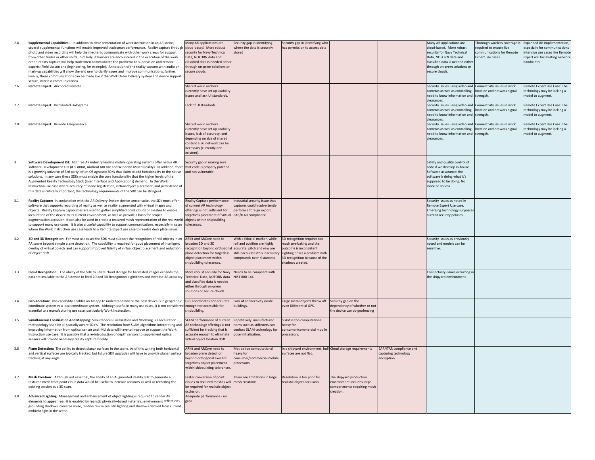| 2.4                     | Supplemental Capabilities: In addition to clear presentation of work instruction in an AR scene.<br>several supplemental functions will enable improved tradesman performance. Reality capture through cloud-based. More robust<br>photo and video recording will help the mechanic communicate with other work crews for support<br>from other trades or other shifts. Similarly, if barriers are encountered in the execution of the work<br>order, reality capture will help tradesmen communicate the problems to supervision and remote<br>experts (Field Liaison and Engineering, for example). Annotation of the reality capture with audio or<br>mark-up capabilities will allow the end user to clarify issues and improve communications, further.<br>Finally, these communications can be made live if the Work Order Delivery system and device support<br>secure, wireless communications. | Many AR applications are<br>security for Navy Technical<br>Data, NOFORN data and<br>classified data is needed either<br>through on-prem solutions or<br>secure clouds.                           | Security gap in identifying<br>where the data is securely<br>stored                                                                                             | Security gap in identifying who<br>has permission to access data                                                                                                      |                                                                                                   |                                                               | Many AR applications are<br>cloud-based. More robust<br>security for Navy Technical<br>Data, NOFORN data and<br>classified data is needed either<br>through on-prem solutions or<br>secure clouds. | Thorough wireless coverage is Expanded AR implementation,<br>required to ensure live<br>communications for Remote<br>Expert use cases | especially for communications<br>intensive use cases like Remote<br>Expert will tax existing network<br>bandwidth. |
|-------------------------|---------------------------------------------------------------------------------------------------------------------------------------------------------------------------------------------------------------------------------------------------------------------------------------------------------------------------------------------------------------------------------------------------------------------------------------------------------------------------------------------------------------------------------------------------------------------------------------------------------------------------------------------------------------------------------------------------------------------------------------------------------------------------------------------------------------------------------------------------------------------------------------------------------|--------------------------------------------------------------------------------------------------------------------------------------------------------------------------------------------------|-----------------------------------------------------------------------------------------------------------------------------------------------------------------|-----------------------------------------------------------------------------------------------------------------------------------------------------------------------|---------------------------------------------------------------------------------------------------|---------------------------------------------------------------|----------------------------------------------------------------------------------------------------------------------------------------------------------------------------------------------------|---------------------------------------------------------------------------------------------------------------------------------------|--------------------------------------------------------------------------------------------------------------------|
| 2.6                     | Remote Expert: Anchored Remote                                                                                                                                                                                                                                                                                                                                                                                                                                                                                                                                                                                                                                                                                                                                                                                                                                                                          | Shared world anchors<br>currently have set up usability<br>issues and lack UI standards.                                                                                                         |                                                                                                                                                                 |                                                                                                                                                                       |                                                                                                   |                                                               | Security issues using video and Connectivity issues in work<br>cameras as well as controlling   location and network signal<br>need to know information and strength.<br>clearances.               |                                                                                                                                       | Remote Expert Use Case: The<br>technology may be lacking a<br>nodel to augment.                                    |
| 2.7                     | Remote Expert: Distributed Holograms                                                                                                                                                                                                                                                                                                                                                                                                                                                                                                                                                                                                                                                                                                                                                                                                                                                                    | Lack of UI standards                                                                                                                                                                             |                                                                                                                                                                 |                                                                                                                                                                       |                                                                                                   |                                                               | Security issues using video and Connectivity issues in work<br>cameras as well as controlling location and network signal<br>need to know information and strength.<br>clearances.                 |                                                                                                                                       | Remote Expert Use Case: The<br>technology may be lacking a<br>model to augment.                                    |
| 2.8                     | Remote Expert: Remote Telepresence                                                                                                                                                                                                                                                                                                                                                                                                                                                                                                                                                                                                                                                                                                                                                                                                                                                                      | Shared world anchors<br>currently have set up usability<br>issues, lack of accuracy, and<br>depending on size of shared<br>content a 5G network can be<br>ecessary (currently non-<br>existent). |                                                                                                                                                                 |                                                                                                                                                                       |                                                                                                   |                                                               | Security issues using video and Connectivity issues in work<br>cameras as well as controlling   location and network signal<br>need to know information and strength.<br>learances.                |                                                                                                                                       | Remote Expert Use Case: The<br>technology may be lacking a<br>model to augment.                                    |
| $\overline{\mathbf{3}}$ | Software Development Kit: All three AR industry leading mobile operating systems offer native AR<br>software Development Kits (iOS ARKit, Android ARCore and Windows Mixed Reality). In addition, there<br>is a growing universe of 3rd party, often OS agnostic SDKs that claim to add functionality to the native<br>solutions. In any case these SDKs must enable the core functionality that the higher levels of the<br>Augmented Reality Technology Stack (User Interface and Applications) demand. In the Work<br>Instruction use case where accuracy of scene registration, virtual object placement, and persistence of<br>this data is critically important, the technology requirements of the SDK can be stringent.                                                                                                                                                                         | Security gap in making sure<br>that code is properly patched<br>and not vulnerable                                                                                                               |                                                                                                                                                                 |                                                                                                                                                                       |                                                                                                   |                                                               | Safety and quality control of<br>code if we develop in-house.<br>Software assurance: the<br>software is doing what it's<br>supposed to be doing. No<br>more or no less.                            |                                                                                                                                       |                                                                                                                    |
| 3.1                     | Reality Capture: In conjunction with the AR Delivery System device sensor suite, the SDK must offer<br>software that supports recording of reality as well as reality augmented with virtual images and<br>objects. Reality Capture capabilities are used to gather simplified point clouds or meshes to enable<br>localization of the device to its current environment, as well as provide a basis for proper<br>augmentation occlusion. It can also be used to create a textured mesh representation of the real world<br>to support many use cases. It is also a useful capability to support communications, especially in cases<br>where the Work Instruction use case leads to a Remote Expert use case to resolve deck plate issues.                                                                                                                                                            | Reality Capture performance<br>of current AR technology<br>offerings is not sufficient for<br>targetless placement of virtual<br>objects within shipbuilding<br>tolerances.                      | Industrial security issue that<br>captures could inadvertently<br>perform a foreign export.<br>EAR/ITAR compliance                                              |                                                                                                                                                                       |                                                                                                   |                                                               | Security issues as noted in<br>emote Expert Use case.<br><b>Emerging technology surpasses</b><br>current security policies.                                                                        |                                                                                                                                       |                                                                                                                    |
| 3.2                     | 2D and 3D Recognition: For most use cases the SDK must support the recognition of real objects in an<br>AR scene beyond simple plane detection. The capability is required for good placement of intelligent<br>overlay of virtual objects and can support improved fidelity of virtual object placement and reduction<br>of object drift.                                                                                                                                                                                                                                                                                                                                                                                                                                                                                                                                                              | ARKit and ARCore need to<br>proaden 2D and 3D<br>ecognition beyond orthogonal<br>plane detection for targetless<br>bject placement within<br>hipbuilding tolerances.                             | With a fiducial marker, while<br>roll and position are highly<br>accurate, pitch and yaw are<br>still inaccurate (this inaccuracy<br>compounds over distances). | 3D recognition requires too<br>much pre-baking and the<br>outcome is inconsistent.<br>Lighting poses a problem with<br>3D recognition because of the<br>adows created |                                                                                                   |                                                               | Security issues as previously<br>noted and models can be<br>sensitive.                                                                                                                             |                                                                                                                                       |                                                                                                                    |
| 3.3                     | Cloud Recognition: The ability of the SDK to utilize cloud storage for harvested images expands the<br>data set available to the AR device to feed 2D and 3D Recognition algorithms and increase AR accuracy.                                                                                                                                                                                                                                                                                                                                                                                                                                                                                                                                                                                                                                                                                           | More robust security for Navy Needs to be compliant with<br>Technical Data, NOFORN data<br>and classified data is needed<br>either through on-prem<br>solutions or secure clouds.                | NIST 800-144                                                                                                                                                    |                                                                                                                                                                       |                                                                                                   |                                                               | Connectivity issues occurring in<br>the shipyard environment.                                                                                                                                      |                                                                                                                                       |                                                                                                                    |
| 3.4                     | Geo-Location: This capability enables an AR app to understand where the host device is in geographic<br>coordinate system vs a local coordinate system. Although useful in many use cases, it is not considered<br>essential to a manufacturing use case, particularly Work Instruction.                                                                                                                                                                                                                                                                                                                                                                                                                                                                                                                                                                                                                | GPS coordinates not accurate<br>enough nor accessible for<br>hipbuilding.                                                                                                                        | Lack of connectivity inside<br>buildings.                                                                                                                       | Large metal objects throw off<br>even Differential GPS.                                                                                                               | Security gap on the<br>dependency of whether or not<br>he device can do geofencing                |                                                               |                                                                                                                                                                                                    |                                                                                                                                       |                                                                                                                    |
| 3.5                     | Simultaneous Localization And Mapping: Simultaneous Localization and Modeling is a localization<br>methodology used by all spatially aware SDK's. The resolution from SLAM algorithms interpreting and<br>improving information from optical sensor and IMU data will have to improve to support the Work<br>Instruction use case. It is possible that a re-introduction of depth sensors to supplement optical<br>sensors will provide necessary reality capture fidelity.                                                                                                                                                                                                                                                                                                                                                                                                                             | SLAM performance of current<br>AR technology offerings is not<br>sufficient for tracking that is<br>accurate enough to eliminate<br>virtual object location drift.                               | Repetitively manufactured<br>items such as stiffeners can<br>confuse SLAM technology for<br>pose initialization.                                                | SLAM is too computational<br>eavy for<br>onsumer/commercial mobile<br>processors.                                                                                     |                                                                                                   |                                                               |                                                                                                                                                                                                    |                                                                                                                                       |                                                                                                                    |
| 3.6                     | Plane Detection: The ability to detect planar surfaces in the scene. As of this writing both horizontal<br>and vertical surfaces are typically tracked, but future SDK upgrades will have to provide planar surface<br>tracking at any angle.                                                                                                                                                                                                                                                                                                                                                                                                                                                                                                                                                                                                                                                           | <b>ARKit and ARCore need to</b><br>proaden plane detection<br>beyond orthogonal axes for<br>targetless object placement<br>within shipbuilding tolerances.                                       | Mat be too computational<br>heavy for<br>consumer/commercial mobile<br>processors                                                                               | In a shipyard environment, hull Cloud storage requirements<br>urfaces are not flat.                                                                                   |                                                                                                   | EAR/ITAR compliance and<br>capturing technology<br>encryption |                                                                                                                                                                                                    |                                                                                                                                       |                                                                                                                    |
| 3.7                     | Mesh Creation: Although not essential, the ability of an Augmented Reality SDK to generate a<br>textured mesh from point cloud data would be useful to increase accuracy as well as recording the<br>existing session as a 3D scan.                                                                                                                                                                                                                                                                                                                                                                                                                                                                                                                                                                                                                                                                     | Faster conversion of point<br>clouds to textured meshes will<br>be required for realistic object<br>occlusion.                                                                                   | There are limitations in large<br>mesh creations.                                                                                                               | Resolution is too poor for<br>ealistic object occlusion.                                                                                                              | The shipyard production<br>environment includes large<br>compartments requiring mesh<br>creation. |                                                               |                                                                                                                                                                                                    |                                                                                                                                       |                                                                                                                    |
| 3.8                     | Advanced Lighting: Management and enhancement of object lighting is required to render AR<br>elements to appear real. It is enabled by realistic physically-based materials, environment reflections,<br>grounding shadows, cameras noise, motion blur & realistic lighting and shadows derived from current<br>ambient light in the scene.                                                                                                                                                                                                                                                                                                                                                                                                                                                                                                                                                             | dequate performance - no<br>gaps.                                                                                                                                                                |                                                                                                                                                                 |                                                                                                                                                                       |                                                                                                   |                                                               |                                                                                                                                                                                                    |                                                                                                                                       |                                                                                                                    |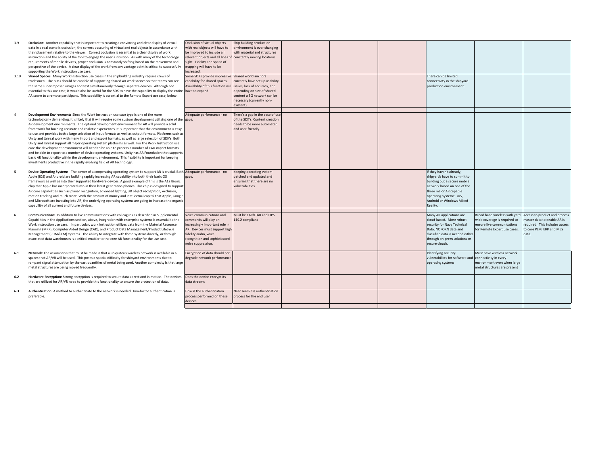- 3.9 **Occlusion:** Another capability that is important to creating <sup>a</sup> convincing and clear display of virtual data in <sup>a</sup> real scene is occlusion, the correct obscuring of virtual and real objects in accordance with their placement relative to the viewer. Correct occlusion is essential to <sup>a</sup> clear display of work instruction and the ability of the tool to engage the user's intuition. As with many of the technology requirements of mobile devices, proper occlusion is constantly shifting based on the movement and perspective of the device. A clear display of the work from any vantage point is critical to successfull supporting the Work Instruction use case.
- 3.10 **Shared Spaces:** Many Work Instruction use cases in the shipbuilding industry require crews of tradesmen. The SDKs should be capable of supporting shared AR work scenes so that teams can see the same superimposed images and text simultaneously through separate devices. Although not essential to this use case, it would also be useful for the SDK to have the capability to display the entire AR scene to <sup>a</sup> remote participant. This capability is essential to the Remote Expert use case, below.
- 4 **Development Environment:** Since the Work Instruction use case type is one of the more technologically demanding, it is likely that it will require some custom development utilizing one of t AR development environments. The optimal development environment for AR will provide <sup>a</sup> solid framework for building accurate and realistic experiences. It is important that the environment is easy to use and provides both <sup>a</sup> large selection of input formats as well as output formats. Platforms such as Unity and Unreal work with many import and export formats, as well as large selection of SDK's. Both Unity and Unreal support all major operating system platforms as well. For the Work Instruction use case the development environment will need to be able to process <sup>a</sup> number of CAD import formats and be able to export to <sup>a</sup> number of device operating systems. Unity has AR Foundation that supports basic AR functionality within the development environment. This flexibility is important for keeping investments productive in the rapidly evolving field of AR technology.
- **5 Device Operating System:** The power of <sup>a</sup> cooperating operating system to support AR is crucial. Both Apple (iOS) and Android are building rapidly increasing AR capability into both their basic OS framework as well as into their supported hardware devices. A good example of this is the A12 Bionic chip that Apple has incorporated into in their latest generation phones. This chip is designed to support AR core capabilities such as planar recognition, advanced lighting, 3D object recognition, occlusion, motion tracking and much more. With the amount of money and intellectual capital that Apple, Google and Microsoft are investing into AR, the underlying operating systems are going to increase the organic capability of all current and future devices.
- **6 Communications:** In addition to live communications with colleagues as described in Supplemental Capabilities in the Applications section, above, integration with enterprise systems is essential to the Work Instruction use case. In particular, work instruction utilizes data from the Material Resource Planning (MRP), Computer Aided Design (CAD), and Product Data Management/Product Lifecycle Management (PDM/PLM) systems. The ability to integrate with these systems directly, or through associated data warehouses is <sup>a</sup> critical enabler to the core AR functionality for the use case.
- **6.1 Network:** The assumption that must be made is that <sup>a</sup> ubiquitous wireless network is available in all spaces that AR/VR will be used. This poses <sup>a</sup> special difficulty for shipyard environments due to rampant signal attenuation by the vast quantities of metal being used. Another complexity is that large metal structures are being moved frequently.
- **6.2 Hardware Encryption:** Strong encryption is required to secure data at rest and in motion. The devices that are utilized for AR/VR need to provide this functionality to ensure the protection of data.
- **6.3 Authentication:** A method to authenticate to the network is needed. Two‐factor authentication is preferable.

| lv                            | Occlusion of virtual objects<br>with real objects will have to<br>be improved to include all<br>relevant objects and all lines of constantly moving locations.<br>sight. Fidelity and speed of<br>mapping will have to be<br>increased. | Ship building production<br>environment is ever changing<br>with material and structures                                                                                                          |  |                                                                                                                                                                                                                     |                                                                                                                             |                                                                                                                                     |
|-------------------------------|-----------------------------------------------------------------------------------------------------------------------------------------------------------------------------------------------------------------------------------------|---------------------------------------------------------------------------------------------------------------------------------------------------------------------------------------------------|--|---------------------------------------------------------------------------------------------------------------------------------------------------------------------------------------------------------------------|-----------------------------------------------------------------------------------------------------------------------------|-------------------------------------------------------------------------------------------------------------------------------------|
|                               | Some SDKs provide impressive<br>capability for shared spaces.<br>Availability of this function will<br>tire have to expand.                                                                                                             | Shared world anchors<br>currently have set up usability<br>issues, lack of accuracy, and<br>depending on size of shared<br>content a 5G network can be<br>necessary (currently non-<br>existent). |  | There can be limited<br>connectivity in the shipyard<br>production environment.                                                                                                                                     |                                                                                                                             |                                                                                                                                     |
| lsy<br>n as<br>h.<br>e<br>rts | Adequate performance - no<br>the gaps.                                                                                                                                                                                                  | There's a gap in the ease of use<br>of the SDK's. Content creation<br>needs to be more automated<br>and user-friendly.                                                                            |  |                                                                                                                                                                                                                     |                                                                                                                             |                                                                                                                                     |
| ic<br>ort<br>ogle<br>ınic     | oth Adequate performance - no<br>gaps.                                                                                                                                                                                                  | Keeping operating system<br>patched and updated and<br>ensuring that there are no<br>vulnerabilities                                                                                              |  | If they haven't already,<br>shipyards have to commit to<br>building out a secure mobile<br>network based on one of the<br>three major AR capable<br>operating systems: iOS,<br>Android or Windows Mixed<br>Reality. |                                                                                                                             |                                                                                                                                     |
|                               | Voice communications and<br>commands will play an<br>increasingly important role in<br>AR. Devices must support high<br>fidelity audio, voice<br>recognition and sophisticated<br>noise suppression.                                    | Must be EAR/ITAR and FIPS<br>140.2 compliant                                                                                                                                                      |  | Many AR applications are<br>cloud-based. More robust<br>security for Navy Technical<br>Data, NOFORN data and<br>classified data is needed either<br>through on-prem solutions or<br>secure clouds.                  | Broad band wireless with yard<br>wide coverage is required to<br>ensure live communications<br>for Remote Expert use cases. | Access to product and process<br>master data to enable AR is<br>required. This includes access<br>to core PLM, ERP and MES<br>data. |
| rge                           | Encryption of data should not<br>degrade network performance                                                                                                                                                                            |                                                                                                                                                                                                   |  | Identifying security<br>vulnerabilites for software and<br>operating systems                                                                                                                                        | Must have wireless network<br>connectivity in every<br>environment even when large<br>metal structures are present          |                                                                                                                                     |
|                               | es Does the device encrypt its<br>data streams                                                                                                                                                                                          |                                                                                                                                                                                                   |  |                                                                                                                                                                                                                     |                                                                                                                             |                                                                                                                                     |
|                               | How is the authentication<br>process performed on these<br>devices                                                                                                                                                                      | Near seamless authentication<br>process for the end user                                                                                                                                          |  |                                                                                                                                                                                                                     |                                                                                                                             |                                                                                                                                     |
|                               |                                                                                                                                                                                                                                         |                                                                                                                                                                                                   |  |                                                                                                                                                                                                                     |                                                                                                                             |                                                                                                                                     |